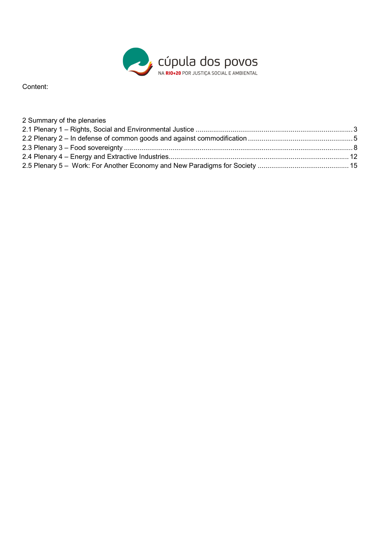

Content:

| 2 Summary of the plenaries |  |
|----------------------------|--|
|                            |  |
|                            |  |
|                            |  |
|                            |  |
|                            |  |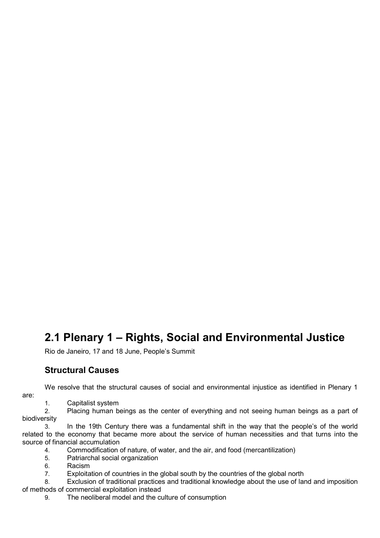# **2.1 Plenary 1 – Rights, Social and Environmental Justice**

Rio de Janeiro, 17 and 18 June, People's Summit

# **Structural Causes**

We resolve that the structural causes of social and environmental injustice as identified in Plenary 1 are:

1. Capitalist system

2. Placing human beings as the center of everything and not seeing human beings as a part of biodiversity

3. In the 19th Century there was a fundamental shift in the way that the people's of the world related to the economy that became more about the service of human necessities and that turns into the source of financial accumulation

4. Commodification of nature, of water, and the air, and food (mercantilization)

5. Patriarchal social organization

6. Racism

7. Exploitation of countries in the global south by the countries of the global north

8. Exclusion of traditional practices and traditional knowledge about the use of land and imposition of methods of commercial exploitation instead

9. The neoliberal model and the culture of consumption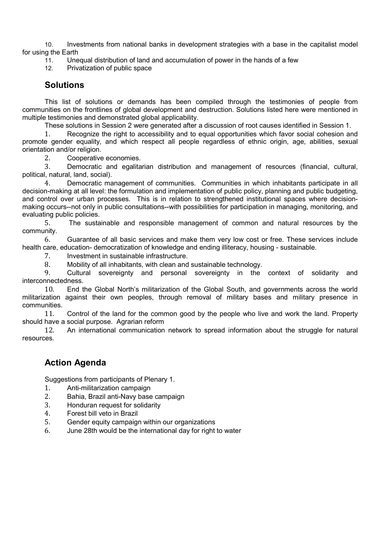10. Investments from national banks in development strategies with a base in the capitalist model for using the Earth

11. Unequal distribution of land and accumulation of power in the hands of a few

12. Privatization of public space

# **Solutions**

This list of solutions or demands has been compiled through the testimonies of people from communities on the frontlines of global development and destruction. Solutions listed here were mentioned in multiple testimonies and demonstrated global applicability.

These solutions in Session 2 were generated after a discussion of root causes identified in Session 1.

1. Recognize the right to accessibility and to equal opportunities which favor social cohesion and promote gender equality, and which respect all people regardless of ethnic origin, age, abilities, sexual orientation and/or religion.

2. Cooperative economies.

3. Democratic and egalitarian distribution and management of resources (financial, cultural, political, natural, land, social).

4. Democratic management of communities. Communities in which inhabitants participate in all decision-making at all level: the formulation and implementation of public policy, planning and public budgeting, and control over urban processes. This is in relation to strengthened institutional spaces where decisionmaking occurs--not only in public consultations--with possibilities for participation in managing, monitoring, and evaluating public policies.

5. The sustainable and responsible management of common and natural resources by the community.

6. Guarantee of all basic services and make them very low cost or free. These services include health care, education- democratization of knowledge and ending illiteracy, housing - sustainable.

7. Investment in sustainable infrastructure.

8. Mobility of all inhabitants, with clean and sustainable technology.

9. Cultural sovereignty and personal sovereignty in the context of solidarity and interconnectedness.

10. End the Global North's militarization of the Global South, and governments across the world militarization against their own peoples, through removal of military bases and military presence in communities.

11. Control of the land for the common good by the people who live and work the land. Property should have a social purpose. Agrarian reform

12. An international communication network to spread information about the struggle for natural resources.

# **Action Agenda**

Suggestions from participants of Plenary 1.

- 1. Anti-militarization campaign
- 2. Bahia, Brazil anti-Navy base campaign
- 3. Honduran request for solidarity
- 4. Forest bill veto in Brazil
- 5. Gender equity campaign within our organizations
- 6. June 28th would be the international day for right to water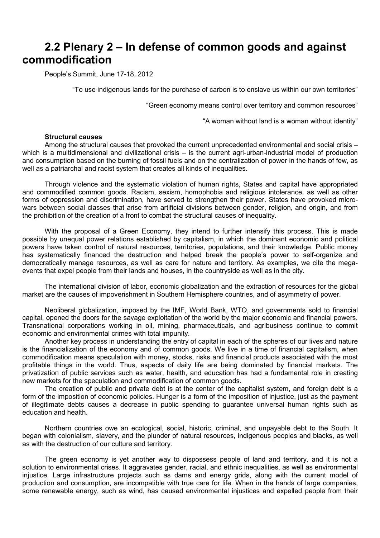# **2.2 Plenary 2 – In defense of common goods and against commodification**

People's Summit, June 17-18, 2012

"To use indigenous lands for the purchase of carbon is to enslave us within our own territories"

"Green economy means control over territory and common resources"

"A woman without land is a woman without identity"

## **Structural causes**

Among the structural causes that provoked the current unprecedented environmental and social crisis – which is a multidimensional and civilizational crisis – is the current agri-urban-industrial model of production and consumption based on the burning of fossil fuels and on the centralization of power in the hands of few, as well as a patriarchal and racist system that creates all kinds of inequalities.

Through violence and the systematic violation of human rights, States and capital have appropriated and commodified common goods. Racism, sexism, homophobia and religious intolerance, as well as other forms of oppression and discrimination, have served to strengthen their power. States have provoked microwars between social classes that arise from artificial divisions between gender, religion, and origin, and from the prohibition of the creation of a front to combat the structural causes of inequality.

With the proposal of a Green Economy, they intend to further intensify this process. This is made possible by unequal power relations established by capitalism, in which the dominant economic and political powers have taken control of natural resources, territories, populations, and their knowledge. Public money has systematically financed the destruction and helped break the people's power to self-organize and democratically manage resources, as well as care for nature and territory. As examples, we cite the megaevents that expel people from their lands and houses, in the countryside as well as in the city.

The international division of labor, economic globalization and the extraction of resources for the global market are the causes of impoverishment in Southern Hemisphere countries, and of asymmetry of power.

Neoliberal globalization, imposed by the IMF, World Bank, WTO, and governments sold to financial capital, opened the doors for the savage exploitation of the world by the major economic and financial powers. Transnational corporations working in oil, mining, pharmaceuticals, and agribusiness continue to commit economic and environmental crimes with total impunity.

Another key process in understanding the entry of capital in each of the spheres of our lives and nature is the financialization of the economy and of common goods. We live in a time of financial capitalism, when commodification means speculation with money, stocks, risks and financial products associated with the most profitable things in the world. Thus, aspects of daily life are being dominated by financial markets. The privatization of public services such as water, health, and education has had a fundamental role in creating new markets for the speculation and commodification of common goods.

The creation of public and private debt is at the center of the capitalist system, and foreign debt is a form of the imposition of economic policies. Hunger is a form of the imposition of injustice, just as the payment of illegitimate debts causes a decrease in public spending to guarantee universal human rights such as education and health.

Northern countries owe an ecological, social, historic, criminal, and unpayable debt to the South. It began with colonialism, slavery, and the plunder of natural resources, indigenous peoples and blacks, as well as with the destruction of our culture and territory.

The green economy is yet another way to dispossess people of land and territory, and it is not a solution to environmental crises. It aggravates gender, racial, and ethnic inequalities, as well as environmental injustice. Large infrastructure projects such as dams and energy grids, along with the current model of production and consumption, are incompatible with true care for life. When in the hands of large companies, some renewable energy, such as wind, has caused environmental injustices and expelled people from their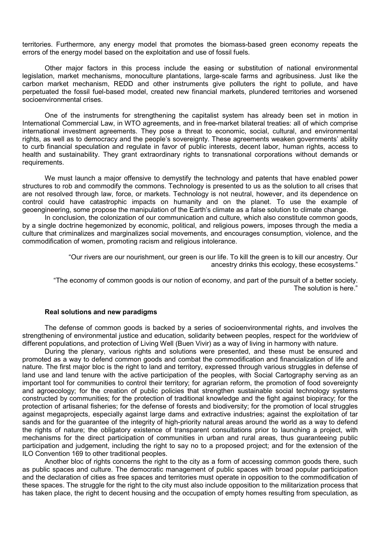territories. Furthermore, any energy model that promotes the biomass-based green economy repeats the errors of the energy model based on the exploitation and use of fossil fuels.

Other major factors in this process include the easing or substitution of national environmental legislation, market mechanisms, monoculture plantations, large-scale farms and agribusiness. Just like the carbon market mechanism, REDD and other instruments give polluters the right to pollute, and have perpetuated the fossil fuel-based model, created new financial markets, plundered territories and worsened socioenvironmental crises.

One of the instruments for strengthening the capitalist system has already been set in motion in International Commercial Law, in WTO agreements, and in free-market bilateral treaties: all of which comprise international investment agreements. They pose a threat to economic, social, cultural, and environmental rights, as well as to democracy and the people's sovereignty. These agreements weaken governments' ability to curb financial speculation and regulate in favor of public interests, decent labor, human rights, access to health and sustainability. They grant extraordinary rights to transnational corporations without demands or requirements.

We must launch a major offensive to demystify the technology and patents that have enabled power structures to rob and commodify the commons. Technology is presented to us as the solution to all crises that are not resolved through law, force, or markets. Technology is not neutral, however, and its dependence on control could have catastrophic impacts on humanity and on the planet. To use the example of geoengineering, some propose the manipulation of the Earth's climate as a false solution to climate change.

In conclusion, the colonization of our communication and culture, which also constitute common goods, by a single doctrine hegemonized by economic, political, and religious powers, imposes through the media a culture that criminalizes and marginalizes social movements, and encourages consumption, violence, and the commodification of women, promoting racism and religious intolerance.

> "Our rivers are our nourishment, our green is our life. To kill the green is to kill our ancestry. Our ancestry drinks this ecology, these ecosystems."

"The economy of common goods is our notion of economy, and part of the pursuit of a better society. The solution is here."

#### **Real solutions and new paradigms**

The defense of common goods is backed by a series of socioenvironmental rights, and involves the strengthening of environmental justice and education, solidarity between peoples, respect for the worldview of different populations, and protection of Living Well (Buen Vivir) as a way of living in harmony with nature.

During the plenary, various rights and solutions were presented, and these must be ensured and promoted as a way to defend common goods and combat the commodification and financialization of life and nature. The first major bloc is the right to land and territory, expressed through various struggles in defense of land use and land tenure with the active participation of the peoples, with Social Cartography serving as an important tool for communities to control their territory; for agrarian reform, the promotion of food sovereignty and agroecology; for the creation of public policies that strengthen sustainable social technology systems constructed by communities; for the protection of traditional knowledge and the fight against biopiracy; for the protection of artisanal fisheries; for the defense of forests and biodiversity; for the promotion of local struggles against megaprojects, especially against large dams and extractive industries; against the exploitation of tar sands and for the guarantee of the integrity of high-priority natural areas around the world as a way to defend the rights of nature; the obligatory existence of transparent consultations prior to launching a project, with mechanisms for the direct participation of communities in urban and rural areas, thus guaranteeing public participation and judgement, including the right to say no to a proposed project; and for the extension of the ILO Convention 169 to other traditional peoples.

Another bloc of rights concerns the right to the city as a form of accessing common goods there, such as public spaces and culture. The democratic management of public spaces with broad popular participation and the declaration of cities as free spaces and territories must operate in opposition to the commodification of these spaces. The struggle for the right to the city must also include opposition to the militarization process that has taken place, the right to decent housing and the occupation of empty homes resulting from speculation, as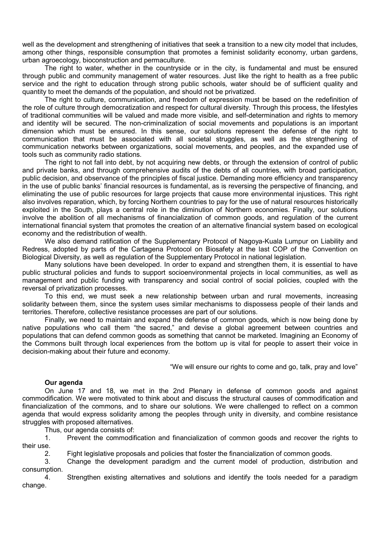well as the development and strengthening of initiatives that seek a transition to a new city model that includes, among other things, responsible consumption that promotes a feminist solidarity economy, urban gardens, urban agroecology, bioconstruction and permaculture.

The right to water, whether in the countryside or in the city, is fundamental and must be ensured through public and community management of water resources. Just like the right to health as a free public service and the right to education through strong public schools, water should be of sufficient quality and quantity to meet the demands of the population, and should not be privatized.

The right to culture, communication, and freedom of expression must be based on the redefinition of the role of culture through democratization and respect for cultural diversity. Through this process, the lifestyles of traditional communities will be valued and made more visible, and self-determination and rights to memory and identity will be secured. The non-criminalization of social movements and populations is an important dimension which must be ensured. In this sense, our solutions represent the defense of the right to communication that must be associated with all societal struggles, as well as the strengthening of communication networks between organizations, social movements, and peoples, and the expanded use of tools such as community radio stations.

The right to not fall into debt, by not acquiring new debts, or through the extension of control of public and private banks, and through comprehensive audits of the debts of all countries, with broad participation, public decision, and observance of the principles of fiscal justice. Demanding more efficiency and transparency in the use of public banks' financial resources is fundamental, as is reversing the perspective of financing, and eliminating the use of public resources for large projects that cause more environmental injustices. This right also involves reparation, which, by forcing Northern countries to pay for the use of natural resources historically exploited in the South, plays a central role in the diminution of Northern economies. Finally, our solutions involve the abolition of all mechanisms of financialization of common goods, and regulation of the current international financial system that promotes the creation of an alternative financial system based on ecological economy and the redistribution of wealth.

We also demand ratification of the Supplementary Protocol of Nagoya-Kuala Lumpur on Liability and Redress, adopted by parts of the Cartagena Protocol on Biosafety at the last COP of the Convention on Biological Diversity, as well as regulation of the Supplementary Protocol in national legislation.

Many solutions have been developed. In order to expand and strengthen them, it is essential to have public structural policies and funds to support socioenvironmental projects in local communities, as well as management and public funding with transparency and social control of social policies, coupled with the reversal of privatization processes.

To this end, we must seek a new relationship between urban and rural movements, increasing solidarity between them, since the system uses similar mechanisms to dispossess people of their lands and territories. Therefore, collective resistance processes are part of our solutions.

Finally, we need to maintain and expand the defense of common goods, which is now being done by native populations who call them "the sacred," and devise a global agreement between countries and populations that can defend common goods as something that cannot be marketed. Imagining an Economy of the Commons built through local experiences from the bottom up is vital for people to assert their voice in decision-making about their future and economy.

"We will ensure our rights to come and go, talk, pray and love"

## **Our agenda**

On June 17 and 18, we met in the 2nd Plenary in defense of common goods and against commodification. We were motivated to think about and discuss the structural causes of commodification and financialization of the commons, and to share our solutions. We were challenged to reflect on a common agenda that would express solidarity among the peoples through unity in diversity, and combine resistance struggles with proposed alternatives.

Thus, our agenda consists of:

1. Prevent the commodification and financialization of common goods and recover the rights to their use.

2. Fight legislative proposals and policies that foster the financialization of common goods.

3. Change the development paradigm and the current model of production, distribution and consumption.

4. Strengthen existing alternatives and solutions and identify the tools needed for a paradigm change.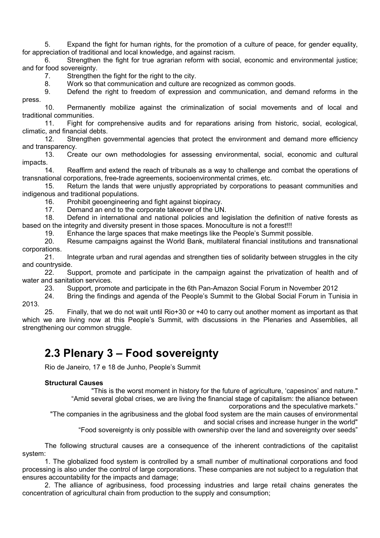5. Expand the fight for human rights, for the promotion of a culture of peace, for gender equality, for appreciation of traditional and local knowledge, and against racism.

6. Strengthen the fight for true agrarian reform with social, economic and environmental justice; and for food sovereignty.

7. Strengthen the fight for the right to the city.

8. Work so that communication and culture are recognized as common goods.

9. Defend the right to freedom of expression and communication, and demand reforms in the press.

10. Permanently mobilize against the criminalization of social movements and of local and traditional communities.

11. Fight for comprehensive audits and for reparations arising from historic, social, ecological, climatic, and financial debts.

12. Strengthen governmental agencies that protect the environment and demand more efficiency and transparency.

13. Create our own methodologies for assessing environmental, social, economic and cultural impacts.

14. Reaffirm and extend the reach of tribunals as a way to challenge and combat the operations of transnational corporations, free-trade agreements, socioenvironmental crimes, etc.

15. Return the lands that were unjustly appropriated by corporations to peasant communities and indigenous and traditional populations.

16. Prohibit geoengineering and fight against biopiracy.

17. Demand an end to the corporate takeover of the UN.

18. Defend in international and national policies and legislation the definition of native forests as based on the integrity and diversity present in those spaces. Monoculture is not a forest!!!

19. Enhance the large spaces that make meetings like the People's Summit possible.<br>20. Resume campaigns against the World Bank, multilateral financial institutions and

Resume campaigns against the World Bank, multilateral financial institutions and transnational corporations.

21. Integrate urban and rural agendas and strengthen ties of solidarity between struggles in the city and countryside.

22. Support, promote and participate in the campaign against the privatization of health and of water and sanitation services.

23. Support, promote and participate in the 6th Pan-Amazon Social Forum in November 2012

24. Bring the findings and agenda of the People's Summit to the Global Social Forum in Tunisia in 2013.

25. Finally, that we do not wait until Rio+30 or +40 to carry out another moment as important as that which we are living now at this People's Summit, with discussions in the Plenaries and Assemblies, all strengthening our common struggle.

# **2.3 Plenary 3 – Food sovereignty**

Rio de Janeiro, 17 e 18 de Junho, People's Summit

### **Structural Causes**

"This is the worst moment in history for the future of agriculture, 'capesinos' and nature." "Amid several global crises, we are living the financial stage of capitalism: the alliance between corporations and the speculative markets."

"The companies in the agribusiness and the global food system are the main causes of environmental and social crises and increase hunger in the world"

"Food sovereignty is only possible with ownership over the land and sovereignty over seeds"

The following structural causes are a consequence of the inherent contradictions of the capitalist system:

1. The globalized food system is controlled by a small number of multinational corporations and food processing is also under the control of large corporations. These companies are not subject to a regulation that ensures accountability for the impacts and damage;

2. The alliance of agribusiness, food processing industries and large retail chains generates the concentration of agricultural chain from production to the supply and consumption;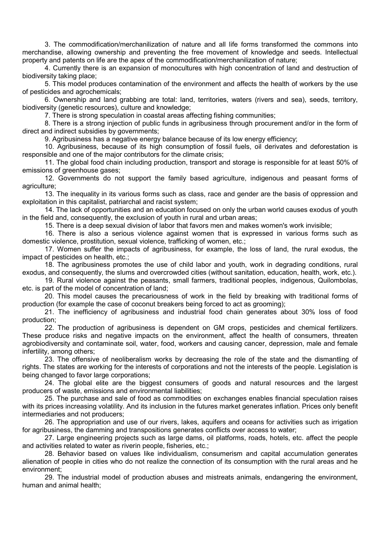3. The commodification/merchanilization of nature and all life forms transformed the commons into merchandise, allowing ownership and preventing the free movement of knowledge and seeds. Intellectual property and patents on life are the apex of the commodification/merchanilization of nature;

4. Currently there is an expansion of monocultures with high concentration of land and destruction of biodiversity taking place;

5. This model produces contamination of the environment and affects the health of workers by the use of pesticides and agrochemicals;

6. Ownership and land grabbing are total: land, territories, waters (rivers and sea), seeds, territory, biodiversity (genetic resources), culture and knowledge;

7. There is strong speculation in coastal areas affecting fishing communities;

8. There is a strong injection of public funds in agribusiness through procurement and/or in the form of direct and indirect subsidies by governments;

9. Agribusiness has a negative energy balance because of its low energy efficiency;

10. Agribusiness, because of its high consumption of fossil fuels, oil derivates and deforestation is responsible and one of the major contributors for the climate crisis;

11. The global food chain including production, transport and storage is responsible for at least 50% of emissions of greenhouse gases;

12. Governments do not support the family based agriculture, indigenous and peasant forms of agriculture;

13. The inequality in its various forms such as class, race and gender are the basis of oppression and exploitation in this capitalist, patriarchal and racist system;

14. The lack of opportunities and an education focused on only the urban world causes exodus of youth in the field and, consequently, the exclusion of youth in rural and urban areas;

15. There is a deep sexual division of labor that favors men and makes women's work invisible;

16. There is also a serious violence against women that is expressed in various forms such as domestic violence, prostitution, sexual violence, trafficking of women, etc.;

17. Women suffer the impacts of agribusiness, for example, the loss of land, the rural exodus, the impact of pesticides on health, etc.;

18. The agribusiness promotes the use of child labor and youth, work in degrading conditions, rural exodus, and consequently, the slums and overcrowded cities (without sanitation, education, health, work, etc.).

19. Rural violence against the peasants, small farmers, traditional peoples, indigenous, Quilombolas, etc. is part of the model of concentration of land;

20. This model causes the precariousness of work in the field by breaking with traditional forms of production (for example the case of coconut breakers being forced to act as grooming);

21. The inefficiency of agribusiness and industrial food chain generates about 30% loss of food production;

22. The production of agribusiness is dependent on GM crops, pesticides and chemical fertilizers. These produce risks and negative impacts on the environment, affect the health of consumers, threaten agrobiodiversity and contaminate soil, water, food, workers and causing cancer, depression, male and female infertility, among others;

23. The offensive of neoliberalism works by decreasing the role of the state and the dismantling of rights. The states are working for the interests of corporations and not the interests of the people. Legislation is being changed to favor large corporations;

24. The global elite are the biggest consumers of goods and natural resources and the largest producers of waste, emissions and environmental liabilities;

25. The purchase and sale of food as commodities on exchanges enables financial speculation raises with its prices increasing volatility. And its inclusion in the futures market generates inflation. Prices only benefit intermediaries and not producers;

26. The appropriation and use of our rivers, lakes, aquifers and oceans for activities such as irrigation for agribusiness, the damming and transpositions generates conflicts over access to water;

27. Large engineering projects such as large dams, oil platforms, roads, hotels, etc. affect the people and activities related to water as riverin people, fisheries, etc.;

28. Behavior based on values like individualism, consumerism and capital accumulation generates alienation of people in cities who do not realize the connection of its consumption with the rural areas and he environment;

29. The industrial model of production abuses and mistreats animals, endangering the environment, human and animal health;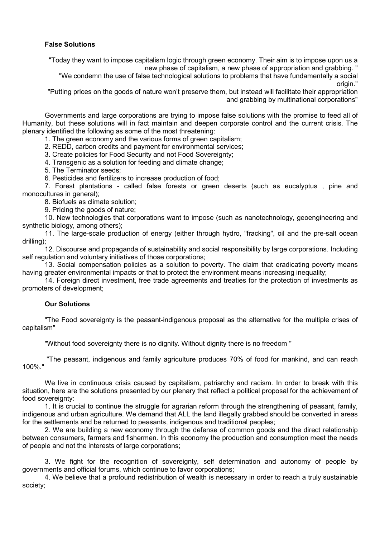# **False Solutions**

"Today they want to impose capitalism logic through green economy. Their aim is to impose upon us a new phase of capitalism, a new phase of appropriation and grabbing. "

"We condemn the use of false technological solutions to problems that have fundamentally a social origin."

"Putting prices on the goods of nature won't preserve them, but instead will facilitate their appropriation and grabbing by multinational corporations"

Governments and large corporations are trying to impose false solutions with the promise to feed all of Humanity, but these solutions will in fact maintain and deepen corporate control and the current crisis. The plenary identified the following as some of the most threatening:

1. The green economy and the various forms of green capitalism;

2. REDD, carbon credits and payment for environmental services;

3. Create policies for Food Security and not Food Sovereignty;

4. Transgenic as a solution for feeding and climate change;

5. The Terminator seeds;

6. Pesticides and fertilizers to increase production of food;

7. Forest plantations - called false forests or green deserts (such as eucalyptus , pine and monocultures in general):

8. Biofuels as climate solution;

9. Pricing the goods of nature;

10. New technologies that corporations want to impose (such as nanotechnology, geoengineering and synthetic biology, among others);

11. The large-scale production of energy (either through hydro, "fracking", oil and the pre-salt ocean drilling);

12. Discourse and propaganda of sustainability and social responsibility by large corporations. Including self regulation and voluntary initiatives of those corporations;

13. Social compensation policies as a solution to poverty. The claim that eradicating poverty means having greater environmental impacts or that to protect the environment means increasing inequality;

14. Foreign direct investment, free trade agreements and treaties for the protection of investments as promoters of development;

### **Our Solutions**

"The Food sovereignty is the peasant-indigenous proposal as the alternative for the multiple crises of capitalism"

"Without food sovereignty there is no dignity. Without dignity there is no freedom "

 "The peasant, indigenous and family agriculture produces 70% of food for mankind, and can reach 100%."

We live in continuous crisis caused by capitalism, patriarchy and racism. In order to break with this situation, here are the solutions presented by our plenary that reflect a political proposal for the achievement of food sovereignty:

1. It is crucial to continue the struggle for agrarian reform through the strengthening of peasant, family, indigenous and urban agriculture. We demand that ALL the land illegally grabbed should be converted in areas for the settlements and be returned to peasants, indigenous and traditional peoples;

2. We are building a new economy through the defense of common goods and the direct relationship between consumers, farmers and fishermen. In this economy the production and consumption meet the needs of people and not the interests of large corporations;

3. We fight for the recognition of sovereignty, self determination and autonomy of people by governments and official forums, which continue to favor corporations;

4. We believe that a profound redistribution of wealth is necessary in order to reach a truly sustainable society;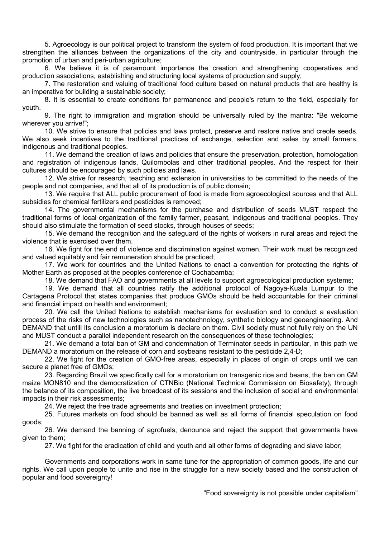5. Agroecology is our political project to transform the system of food production. It is important that we strengthen the alliances between the organizations of the city and countryside, in particular through the promotion of urban and peri-urban agriculture;

6. We believe it is of paramount importance the creation and strengthening cooperatives and production associations, establishing and structuring local systems of production and supply;

7. The restoration and valuing of traditional food culture based on natural products that are healthy is an imperative for building a sustainable society;

8. It is essential to create conditions for permanence and people's return to the field, especially for youth.

9. The right to immigration and migration should be universally ruled by the mantra: "Be welcome wherever you arrive!";

10. We strive to ensure that policies and laws protect, preserve and restore native and creole seeds. We also seek incentives to the traditional practices of exchange, selection and sales by small farmers, indigenous and traditional peoples.

11. We demand the creation of laws and policies that ensure the preservation, protection, homologation and registration of indigenous lands, Quilombolas and other traditional peoples. And the respect for their cultures should be encouraged by such policies and laws.

12. We strive for research, teaching and extension in universities to be committed to the needs of the people and not companies, and that all of its production is of public domain;

13. We require that ALL public procurement of food is made from agroecological sources and that ALL subsidies for chemical fertilizers and pesticides is removed;

14. The governmental mechanisms for the purchase and distribution of seeds MUST respect the traditional forms of local organization of the family farmer, peasant, indigenous and traditional peoples. They should also stimulate the formation of seed stocks, through houses of seeds;

15. We demand the recognition and the safeguard of the rights of workers in rural areas and reject the violence that is exercised over them.

16. We fight for the end of violence and discrimination against women. Their work must be recognized and valued equitably and fair remuneration should be practiced:

17. We work for countries and the United Nations to enact a convention for protecting the rights of Mother Earth as proposed at the peoples conference of Cochabamba;

18. We demand that FAO and governments at all levels to support agroecological production systems;

19. We demand that all countries ratify the additional protocol of Nagoya-Kuala Lumpur to the Cartagena Protocol that states companies that produce GMOs should be held accountable for their criminal and financial impact on health and environment;

20. We call the United Nations to establish mechanisms for evaluation and to conduct a evaluation process of the risks of new technologies such as nanotechnology, synthetic biology and geoengineering. And DEMAND that untill its conclusion a moratorium is declare on them. Civil society must not fully rely on the UN and MUST conduct a parallel independent research on the consequences of these technologies;

21. We demand a total ban of GM and condemnation of Terminator seeds in particular, in this path we DEMAND a moratorium on the release of corn and soybeans resistant to the pesticide 2,4-D;

22. We fight for the creation of GMO-free areas, especially in places of origin of crops until we can secure a planet free of GMOs;

23. Regarding Brazil we specifically call for a moratorium on transgenic rice and beans, the ban on GM maize MON810 and the democratization of CTNBio (National Technical Commission on Biosafety), through the balance of its composition, the live broadcast of its sessions and the inclusion of social and environmental impacts in their risk assessments;

24. We reject the free trade agreements and treaties on investment protection;

25. Futures markets on food should be banned as well as all forms of financial speculation on food goods;

26. We demand the banning of agrofuels; denounce and reject the support that governments have given to them;

27. We fight for the eradication of child and youth and all other forms of degrading and slave labor;

Governments and corporations work in same tune for the appropriation of common goods, life and our rights. We call upon people to unite and rise in the struggle for a new society based and the construction of popular and food sovereignty!

"Food sovereignty is not possible under capitalism"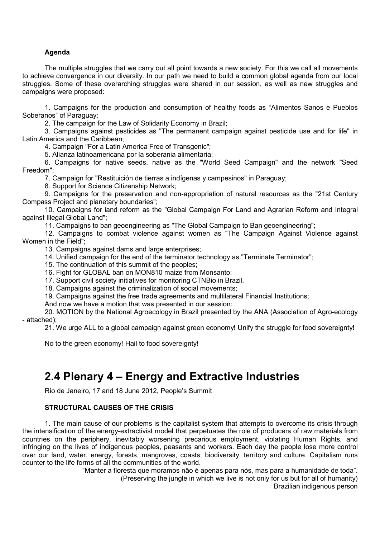# **Agenda**

The multiple struggles that we carry out all point towards a new society. For this we call all movements to achieve convergence in our diversity. In our path we need to build a common global agenda from our local struggles. Some of these overarching struggles were shared in our session, as well as new struggles and campaigns were proposed:

1. Campaigns for the production and consumption of healthy foods as "Alimentos Sanos e Pueblos Soberanos" of Paraguay;

2. The campaign for the Law of Solidarity Economy in Brazil;

3. Campaigns against pesticides as "The permanent campaign against pesticide use and for life" in Latin America and the Caribbean;

4. Campaign "For a Latin America Free of Transgenic";

5. Alianza latinoamericana por la soberania alimentaria;

6. Campaigns for native seeds, native as the "World Seed Campaign" and the network "Seed Freedom";

7. Campaign for "Restituición de tierras a indígenas y campesinos" in Paraguay;

8. Support for Science Citizenship Network;

9. Campaigns for the preservation and non-appropriation of natural resources as the "21st Century Compass Project and planetary boundaries";

10. Campaigns for land reform as the "Global Campaign For Land and Agrarian Reform and Integral against Illegal Global Land";

11. Campaigns to ban geoengineering as "The Global Campaign to Ban geoengineering";

12. Campaigns to combat violence against women as "The Campaign Against Violence against Women in the Field";

13. Campaigns against dams and large enterprises:

14. Unified campaign for the end of the terminator technology as "Terminate Terminator";

15. The continuation of this summit of the peoples;

16. Fight for GLOBAL ban on MON810 maize from Monsanto;

17. Support civil society initiatives for monitoring CTNBio in Brazil.

18. Campaigns against the criminalization of social movements;

19. Campaigns against the free trade agreements and multilateral Financial Institutions;

And now we have a motion that was presented in our session:

20. MOTION by the National Agroecology in Brazil presented by the ANA (Association of Agro-ecology - attached);

21. We urge ALL to a global campaign against green economy! Unify the struggle for food sovereignty!

No to the green economy! Hail to food sovereignty!

# **2.4 Plenary 4 – Energy and Extractive Industries**

Rio de Janeiro, 17 and 18 June 2012, People's Summit

# **STRUCTURAL CAUSES OF THE CRISIS**

1. The main cause of our problems is the capitalist system that attempts to overcome its crisis through the intensification of the energy-extractivist model that perpetuates the role of producers of raw materials from countries on the periphery, inevitably worsening precarious employment, violating Human Rights, and infringing on the lives of indigenous peoples, peasants and workers. Each day the people lose more control over our land, water, energy, forests, mangroves, coasts, biodiversity, territory and culture. Capitalism runs counter to the life forms of all the communities of the world.

> "Manter a floresta que moramos não é apenas para nós, mas para a humanidade de toda". (Preserving the jungle in which we live is not only for us but for all of humanity)

Brazilian indigenous person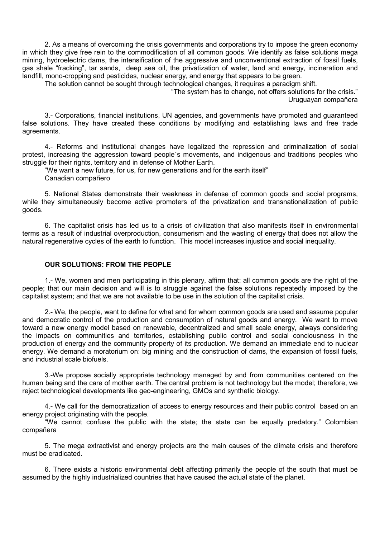2. As a means of overcoming the crisis governments and corporations try to impose the green economy in which they give free rein to the commodification of all common goods. We identify as false solutions mega mining, hydroelectric dams, the intensification of the aggressive and unconventional extraction of fossil fuels, gas shale "fracking", tar sands, deep sea oil, the privatization of water, land and energy, incineration and landfill, mono-cropping and pesticides, nuclear energy, and energy that appears to be green.

The solution cannot be sought through technological changes, it requires a paradigm shift.

"The system has to change, not offers solutions for the crisis." Uruguayan compañera

3.- Corporations, financial institutions, UN agencies, and governments have promoted and guaranteed false solutions. They have created these conditions by modifying and establishing laws and free trade agreements.

4.- Reforms and institutional changes have legalized the repression and criminalization of social protest, increasing the aggression toward people´s movements, and indigenous and traditions peoples who struggle for their rights, territory and in defense of Mother Earth.

"We want a new future, for us, for new generations and for the earth itself" Canadian compañero

5. National States demonstrate their weakness in defense of common goods and social programs, while they simultaneously become active promoters of the privatization and transnationalization of public goods.

6. The capitalist crisis has led us to a crisis of civilization that also manifests itself in environmental terms as a result of industrial overproduction, consumerism and the wasting of energy that does not allow the natural regenerative cycles of the earth to function. This model increases injustice and social inequality.

# **OUR SOLUTIONS: FROM THE PEOPLE**

1.- We, women and men participating in this plenary, affirm that: all common goods are the right of the people; that our main decision and will is to struggle against the false solutions repeatedly imposed by the capitalist system; and that we are not available to be use in the solution of the capitalist crisis.

2.- We, the people, want to define for what and for whom common goods are used and assume popular and democratic control of the production and consumption of natural goods and energy. We want to move toward a new energy model based on renewable, decentralized and small scale energy, always considering the impacts on communities and territories, establishing public control and social conciousness in the production of energy and the community property of its production. We demand an immediate end to nuclear energy. We demand a moratorium on: big mining and the construction of dams, the expansion of fossil fuels, and industrial scale biofuels.

3.-We propose socially appropriate technology managed by and from communities centered on the human being and the care of mother earth. The central problem is not technology but the model; therefore, we reject technological developments like geo-engineering, GMOs and synthetic biology.

4.- We call for the democratization of access to energy resources and their public control based on an energy project originating with the people.

"We cannot confuse the public with the state; the state can be equally predatory." Colombian compañera

5. The mega extractivist and energy projects are the main causes of the climate crisis and therefore must be eradicated.

6. There exists a historic environmental debt affecting primarily the people of the south that must be assumed by the highly industrialized countries that have caused the actual state of the planet.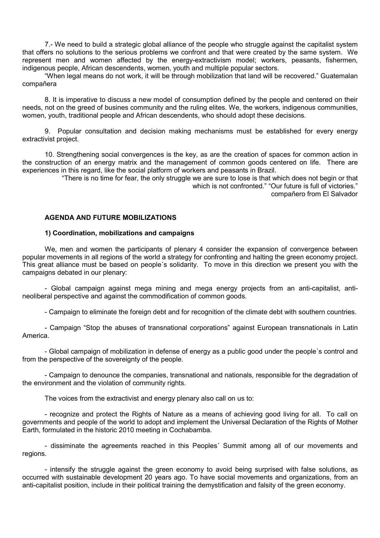7.- We need to build a strategic global alliance of the people who struggle against the capitalist system that offers no solutions to the serious problems we confront and that were created by the same system. We represent men and women affected by the energy-extractivism model; workers, peasants, fishermen, indigenous people, African descendents, women, youth and multiple popular sectors.

"When legal means do not work, it will be through mobilization that land will be recovered." Guatemalan compañera

8. It is imperative to discuss a new model of consumption defined by the people and centered on their needs, not on the greed of busines community and the ruling elites. We, the workers, indigenous communities, women, youth, traditional people and African descendents, who should adopt these decisions.

9. Popular consultation and decision making mechanisms must be established for every energy extractivist project.

10. Strengthening social convergences is the key, as are the creation of spaces for common action in the construction of an energy matrix and the management of common goods centered on life. There are experiences in this regard, like the social platform of workers and peasants in Brazil.

"There is no time for fear, the only struggle we are sure to lose is that which does not begin or that which is not confronted." "Our future is full of victories." compañero from El Salvador

# **AGENDA AND FUTURE MOBILIZATIONS**

### **1) Coordination, mobilizations and campaigns**

We, men and women the participants of plenary 4 consider the expansion of convergence between popular movements in all regions of the world a strategy for confronting and halting the green economy project. This great alliance must be based on people´s solidarity. To move in this direction we present you with the campaigns debated in our plenary:

- Global campaign against mega mining and mega energy projects from an anti-capitalist, antineoliberal perspective and against the commodification of common goods.

- Campaign to eliminate the foreign debt and for recognition of the climate debt with southern countries.

- Campaign "Stop the abuses of transnational corporations" against European transnationals in Latin America.

- Global campaign of mobilization in defense of energy as a public good under the people´s control and from the perspective of the sovereignty of the people.

- Campaign to denounce the companies, transnational and nationals, responsible for the degradation of the environment and the violation of community rights.

The voices from the extractivist and energy plenary also call on us to:

- recognize and protect the Rights of Nature as a means of achieving good living for all. To call on governments and people of the world to adopt and implement the Universal Declaration of the Rights of Mother Earth, formulated in the historic 2010 meeting in Cochabamba.

- dissiminate the agreements reached in this Peoples´ Summit among all of our movements and regions.

- intensify the struggle against the green economy to avoid being surprised with false solutions, as occurred with sustainable development 20 years ago. To have social movements and organizations, from an anti-capitalist position, include in their political training the demystification and falsity of the green economy.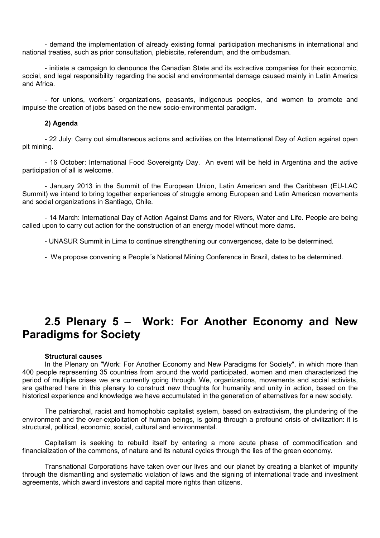- demand the implementation of already existing formal participation mechanisms in international and national treaties, such as prior consultation, plebiscite, referendum, and the ombudsman.

- initiate a campaign to denounce the Canadian State and its extractive companies for their economic, social, and legal responsibility regarding the social and environmental damage caused mainly in Latin America and Africa.

- for unions, workers´ organizations, peasants, indigenous peoples, and women to promote and impulse the creation of jobs based on the new socio-environmental paradigm.

## **2) Agenda**

- 22 July: Carry out simultaneous actions and activities on the International Day of Action against open pit mining.

- 16 October: International Food Sovereignty Day. An event will be held in Argentina and the active participation of all is welcome.

- January 2013 in the Summit of the European Union, Latin American and the Caribbean (EU-LAC Summit) we intend to bring together experiences of struggle among European and Latin American movements and social organizations in Santiago, Chile.

- 14 March: International Day of Action Against Dams and for Rivers, Water and Life. People are being called upon to carry out action for the construction of an energy model without more dams.

- UNASUR Summit in Lima to continue strengthening our convergences, date to be determined.

- We propose convening a People´s National Mining Conference in Brazil, dates to be determined.

# **2.5 Plenary 5 – Work: For Another Economy and New Paradigms for Society**

# **Structural causes**

In the Plenary on "Work: For Another Economy and New Paradigms for Society", in which more than 400 people representing 35 countries from around the world participated, women and men characterized the period of multiple crises we are currently going through. We, organizations, movements and social activists, are gathered here in this plenary to construct new thoughts for humanity and unity in action, based on the historical experience and knowledge we have accumulated in the generation of alternatives for a new society.

The patriarchal, racist and homophobic capitalist system, based on extractivism, the plundering of the environment and the over-exploitation of human beings, is going through a profound crisis of civilization: it is structural, political, economic, social, cultural and environmental.

Capitalism is seeking to rebuild itself by entering a more acute phase of commodification and financialization of the commons, of nature and its natural cycles through the lies of the green economy.

Transnational Corporations have taken over our lives and our planet by creating a blanket of impunity through the dismantling and systematic violation of laws and the signing of international trade and investment agreements, which award investors and capital more rights than citizens.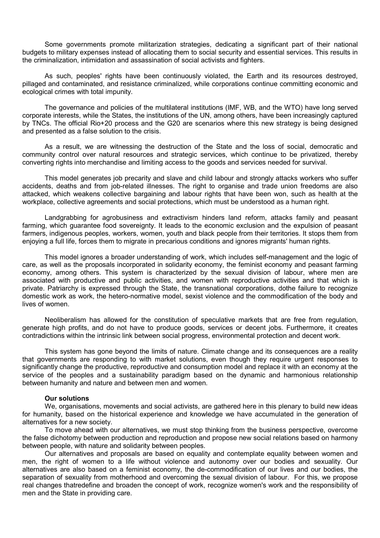Some governments promote militarization strategies, dedicating a significant part of their national budgets to military expenses instead of allocating them to social security and essential services. This results in the criminalization, intimidation and assassination of social activists and fighters.

As such, peoples' rights have been continuously violated, the Earth and its resources destroyed, pillaged and contaminated, and resistance criminalized, while corporations continue committing economic and ecological crimes with total impunity.

The governance and policies of the multilateral institutions (IMF, WB, and the WTO) have long served corporate interests, while the States, the institutions of the UN, among others, have been increasingly captured by TNCs. The official Rio+20 process and the G20 are scenarios where this new strategy is being designed and presented as a false solution to the crisis.

As a result, we are witnessing the destruction of the State and the loss of social, democratic and community control over natural resources and strategic services, which continue to be privatized, thereby converting rights into merchandise and limiting access to the goods and services needed for survival.

This model generates job precarity and slave and child labour and strongly attacks workers who suffer accidents, deaths and from job-related illnesses. The right to organise and trade union freedoms are also attacked, which weakens collective bargaining and labour rights that have been won, such as health at the workplace, collective agreements and social protections, which must be understood as a human right.

Landgrabbing for agrobusiness and extractivism hinders land reform, attacks family and peasant farming, which guarantee food sovereignty. It leads to the economic exclusion and the expulsion of peasant farmers, indigenous peoples, workers, women, youth and black people from their territories. It stops them from enjoying a full life, forces them to migrate in precarious conditions and ignores migrants' human rights.

This model ignores a broader understanding of work, which includes self-management and the logic of care, as well as the proposals incorporated in solidarity economy, the feminist economy and peasant farming economy, among others. This system is characterized by the sexual division of labour, where men are associated with productive and public activities, and women with reproductive activities and that which is private. Patriarchy is expressed through the State, the transnational corporations, dothe failure to recognize domestic work as work, the hetero-normative model, sexist violence and the commodification of the body and lives of women.

Neoliberalism has allowed for the constitution of speculative markets that are free from regulation, generate high profits, and do not have to produce goods, services or decent jobs. Furthermore, it creates contradictions within the intrinsic link between social progress, environmental protection and decent work.

This system has gone beyond the limits of nature. Climate change and its consequences are a reality that governments are responding to with market solutions, even though they require urgent responses to significantly change the productive, reproductive and consumption model and replace it with an economy at the service of the peoples and a sustainability paradigm based on the dynamic and harmonious relationship between humanity and nature and between men and women.

### **Our solutions**

We, organisations, movements and social activists, are gathered here in this plenary to build new ideas for humanity, based on the historical experience and knowledge we have accumulated in the generation of alternatives for a new society.

To move ahead with our alternatives, we must stop thinking from the business perspective, overcome the false dichotomy between production and reproduction and propose new social relations based on harmony between people, with nature and solidarity between peoples.

Our alternatives and proposals are based on equality and contemplate equality between women and men, the right of women to a life without violence and autonomy over our bodies and sexuality. Our alternatives are also based on a feminist economy, the de-commodification of our lives and our bodies, the separation of sexuality from motherhood and overcoming the sexual division of labour. For this, we propose real changes thatredefine and broaden the concept of work, recognize women's work and the responsibility of men and the State in providing care.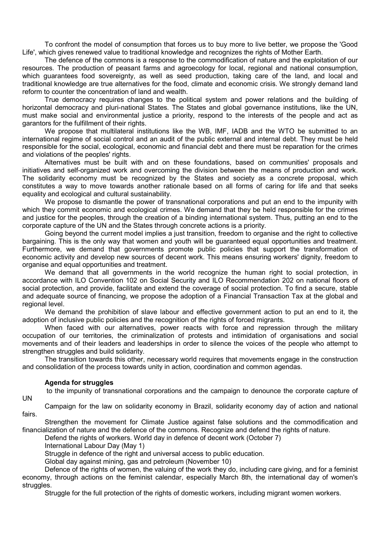To confront the model of consumption that forces us to buy more to live better, we propose the 'Good Life', which gives renewed value to traditional knowledge and recognizes the rights of Mother Earth.

The defence of the commons is a response to the commodification of nature and the exploitation of our resources. The production of peasant farms and agroecology for local, regional and national consumption, which guarantees food sovereignty, as well as seed production, taking care of the land, and local and traditional knowledge are true alternatives for the food, climate and economic crisis. We strongly demand land reform to counter the concentration of land and wealth.

True democracy requires changes to the political system and power relations and the building of horizontal democracy and pluri-national States. The States and global governance institutions, like the UN, must make social and environmental justice a priority, respond to the interests of the people and act as garantors for the fulfillment of their rights.

We propose that multilateral institutions like the WB, IMF, IADB and the WTO be submitted to an international regime of social control and an audit of the public external and internal debt. They must be held responsible for the social, ecological, economic and financial debt and there must be reparation for the crimes and violations of the peoples' rights.

Alternatives must be built with and on these foundations, based on communities' proposals and initiatives and self-organized work and overcoming the division between the means of production and work. The solidarity economy must be recognized by the States and society as a concrete proposal, which constitutes a way to move towards another rationale based on all forms of caring for life and that seeks equality and ecological and cultural sustainability.

We propose to dismantle the power of transnational corporations and put an end to the impunity with which they commit economic and ecological crimes. We demand that they be held responsible for the crimes and justice for the peoples, through the creation of a binding international system. Thus, putting an end to the corporate capture of the UN and the States through concrete actions is a priority.

Going beyond the current model implies a just transition, freedom to organise and the right to collective bargaining. This is the only way that women and youth will be guaranteed equal opportunities and treatment. Furthermore, we demand that governments promote public policies that support the transformation of economic activity and develop new sources of decent work. This means ensuring workers' dignity, freedom to organise and equal opportunities and treatment.

We demand that all governments in the world recognize the human right to social protection, in accordance with ILO Convention 102 on Social Security and ILO Recommendation 202 on national floors of social protection, and provide, facilitate and extend the coverage of social protection. To find a secure, stable and adequate source of financing, we propose the adoption of a Financial Transaction Tax at the global and regional level.

We demand the prohibition of slave labour and effective government action to put an end to it, the adoption of inclusive public policies and the recognition of the rights of forced migrants.

When faced with our alternatives, power reacts with force and repression through the military occupation of our territories, the criminalization of protests and intimidation of organisations and social movements and of their leaders and leaderships in order to silence the voices of the people who attempt to strengthen struggles and build solidarity.

The transition towards this other, necessary world requires that movements engage in the construction and consolidation of the process towards unity in action, coordination and common agendas.

### **Agenda for struggles**

UN

to the impunity of transnational corporations and the campaign to denounce the corporate capture of

Campaign for the law on solidarity economy in Brazil, solidarity economy day of action and national fairs.

Strengthen the movement for Climate Justice against false solutions and the commodification and financialization of nature and the defence of the commons. Recognize and defend the rights of nature.

Defend the rights of workers. World day in defence of decent work (October 7)

International Labour Day (May 1)

Struggle in defence of the right and universal access to public education.

Global day against mining, gas and petroleum (November 10)

Defence of the rights of women, the valuing of the work they do, including care giving, and for a feminist economy, through actions on the feminist calendar, especially March 8th, the international day of women's struggles.

Struggle for the full protection of the rights of domestic workers, including migrant women workers.